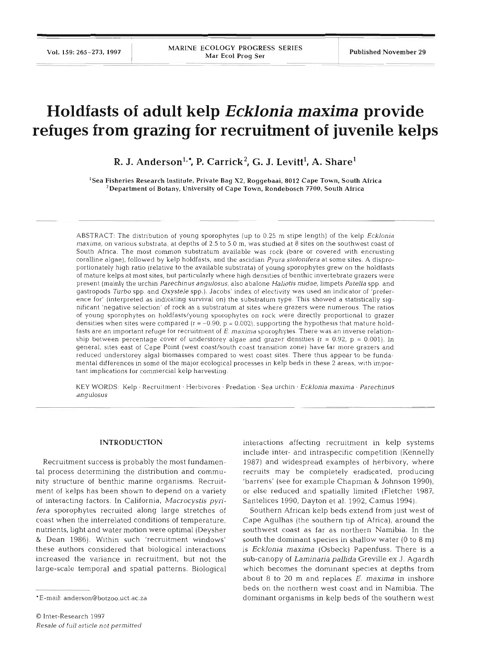# **Holdfasts of adult kelp** *Ecklonia maxima* **provide refuges from grazing for recruitment of juvenile kelps**

R. J. Anderson<sup>1,\*</sup>, P. Carrick<sup>2</sup>, G. J. Levitt<sup>1</sup>, A. Share<sup>1</sup>

'Sea Fisheries Research Institute. Private Bag X2, Roggebaai, **8012** Cape Town, South Africa  $^2$ Department of Botany, University of Cape Town, Rondebosch 7700, South Africa

ABSTRACT: The distribution of young sporophytes (up to 0.25 m stipe length) of the kelp Ecklonia maxima, on various substrata, at depths of 2.5 to 5.0 m, was studied at 8 sites on the southwest coast of South Africa. The most common substratum available was rock (bare or covered with encrusting coralline algae), followed by kelp holdfasts, and the ascidian Pyura stolonifera at some sites. A disproportionately high ratio (relative to the available substrata) of young sporophytes grew on the holdfasts of mature kelps at most sites, but particularly where high densities of benthic invertebrate grazers were present (mainly the urchin Parechinus angulosus, also abalone Haliotis midae, limpets Patella spp. and gastropods Turbo spp. and Oxystele spp.). Jacobs' index of electivity was used an indicator of 'preference for' (interpreted as indicating survival on) the substratum type. This showed a statistically significant 'negative selection' of rock as a substratum at sites where grazers were numerous. The ratios of young sporophytes on holdfasts/young sporophytes on rock were directly proportional to grazer densities when sites were compared ( $r = -0.90$ ,  $p = 0.002$ ), supporting the hypothesis that mature holdfasts are an important refuge for recruitment of E. *maxlma* sporophytes. There was an inverse relationship between percentage cover of understorey algae and grazer densities  $(r = 0.92, p = 0.001)$ . In general, sites east of Cape Point (west coast/south coast transition zone) have far more grazers and reduced understorey algal biomasses compared to west coast sites. There thus appear to be fundamental differences in some of the major ecological processes in kelp beds in these 2 areas, with important implications for commercial kelp harvesting.

KEY WORDS: Kelp · Recruitment · Herbivores · Predation · Sea urchin · Ecklonia maxima · Parechinus angulosus

## **INTRODUCTION**

Recruitment success is probably the most fundamental process determining the distribution and community structure of benthic marine organisms. Recruitment of kelps has been shown to depend on a variety of interacting factors. In California, *A4acrocystis pyrifera* sporophytes recruited along large stretches of coast when the interrelated conditions of temperature, nutrients, light and water motion were optimal (Deysher & Dean 1986). Within such 'recruitment windows' these authors considered that biological interactions increased the variance in recruitment, but not the large-scale temporal and spatial patterns. Biological

interactions affecting recruitment in kelp systems include inter- and intraspecific competition (Kennelly 1987) and widespread examples of herbivory, where recruits may be completely eradicated, producing 'barrens' (see for example Chapman & Johnson 1990), or else reduced and spatially limited (Fletcher 1987, Santelices 1990, Dayton et al. 1992, Camus 1994).

Southern African kelp beds extend from just west of Cape Agulhas (the southern tip of Africa), around the southwest coast as far as northern Namibia. In the south the dominant species in shallow water (0 to 8 m) is Ecklonia *maxima* (Osbeck) Papenfuss. There is a sub-canopy of *Laminaria pallida* Greville ex *J.* Agardh which becomes the dominant species at depths from about 8 to 20 m and replaces E. **maxima** in inshore beds on the northern west coast and in Namibia. The dominant organisms in kelp beds of the southern west

<sup>\*</sup>E-mail: anderson@botzoo.uct.ac.za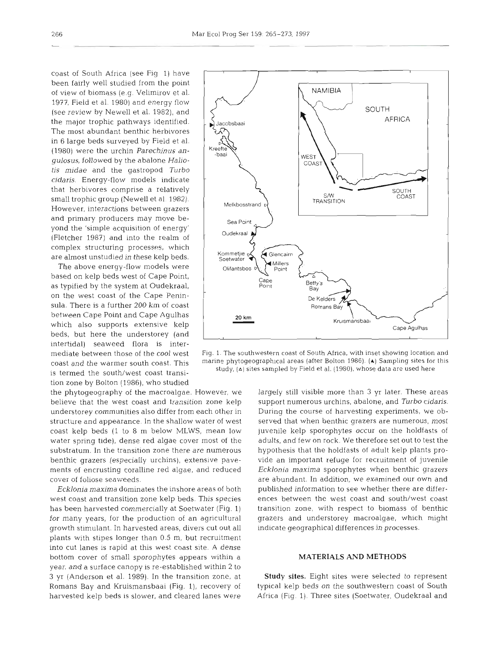coast of South Africa (see Fig 1) have been fairly well studied from the point of view of biomass (e.g. Velimirov et al. 1977, Field et al. 1980) and energy flow (see review by Newel1 et al. 1982), and the major trophic pathways identified. The most abundant benthic herbivores in 6 large beds surveyed by Field et al. (1980) were the urchin *Parechinus angulosus,* followed by the abalone *Haliotis midae* and the gastropod *Turbo*   $cidaris$ . Energy-flow models indicate that herbivores comprise a relatively small trophic group (Newell et al. 1982). However, interactions between grazers and primary producers may move beyond the 'simple acquisition of energy' (Fletcher 1987) and into the realm of  $\left\{\n\begin{array}{ccc}\n\text{Oudekraal} \\
\text{Oudekraal}\n\end{array}\n\right\}$ complex structuring processes, which are almost unstudied in these kelp beds.

The above energy-flow models were based on kelp beds west of Cape Point, as typified by the system at Oudekraal, on the west coast of the Cape Peninsula. There is a further 200 km of coast between Cape Point and Cape Agulhas **20 km**  beds, but here the understorey (and intertidal) seaweed flora is intertion zone by Bolton (1986), who studied

the phytogeography of the macroalgae. However, we largely still visible more than 3 yr later. These areas believe that the west coast and transition zone kelp support numerous urchins, abalone, and *Turbo cidaris.*  understorey communities also differ from each other in During the course of harvesting experiments, we obstructure and appearance. In the shallow water of west served that when benthic grazers are numerous, most coast kelp beds (1 to 8 m below MLWS, mean low juvenile kelp sporophytes occur on the holdfasts of water spring tide), dense red algae cover most of the adults, and few on rock. We therefore set out to test the substratum. In the transition zone there are numerous hypothesis that the holdfasts of adult kelp plants probenthic grazers (especially urchins), extensive pave- vide an important refuge for recruitment of juvenile ments of encrusting coralline red algae, and reduced *Ecklonia maxima* sporophytes when benthic grazers cover of foliose seaweeds. are abundant. In addition, we examined our own and

west coast and transition zone kelp beds. This species ences between the west coast and south/west coast has been harvested commercially at Soetwater (Fig. 1) transition zone, with respect to biomass of benthic for many years, for the production of an agricultural grazers and understorey macroalgae, which might growth stimulant. In harvested areas, divers cut out all indlcate geographical differences in processes. plants with stipes longer than 0.5 m, but recruitment into cut lanes is rapid at this west coast site. A dense bottom cover of small sporophytes appears within a year, and a surface canopy is re-established within 2 to **3** yr (Anderson et al. 1989). In the transition zone. at Romans Bay and Kruismansbaai (Fig. l), recovery of harvested kelp beds is slower, and cleared lanes were



mediate between those of the cool west Fig. 1. The southwestern coast of South Africa, with inset showing location and coast and the warmer south coast. This marine phytogeographical areas (after Bolton 1986). (A) Sampling sites for this study, (A) sites sampled by Field et al. (1980), whose data are used here is termed the south/west coas

*Ecklonia maxima* dominates the inshore areas of both published information to see whether there are differ-

## **MATERIALS AND METHODS**

**Study** sites. Eight sites were selected to represent typical kelp beds on the southwestern coast of South Africa (Fig. 1). Three sites (Soetwater, Oudekraal and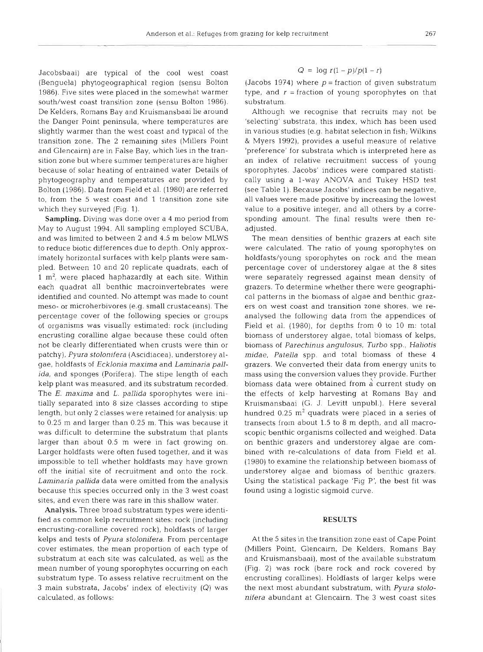Jacobsbaai) are typical of the cool west coast (Benguela) phytogeographical region (sensu Bolton 1986). Five sites were placed in the somewhat warmer south/west coast transition zone (sensu Bolton 1986). De Kelders, Romans Bay and Kruismansbaai lie around the Danger Point peninsula, where temperatures are slightly warmer than the west coast and typical of the transition zone. The 2 remaining sites (Millers Point and Glencairn) are in False Bay, which lies in the transition zone but where summer temperatures are higher because of solar heating of entrained water Details of phytogeography and temperatures are provided by Bolton (1986). Data from Field et al. (1980) are referred

to, from the 5 west coast and 1 transition zone site

which they surveyed (Fig. 1). Sampling. Diving was done over a 4 mo period from May to August 1994. All sampling employed SCUBA, and was llmited to between 2 and 4.5 m below MLWS to reduce biotic differences due to depth. Only approximately horizontal surfaces with kelp plants were sampled. Between 10 and 20 replicate quadrats, each of 1  $m<sup>2</sup>$ , were placed haphazardly at each site. Within each quadrat all benthic macroinvertebrates were identified and counted. No attempt was made to count meso- or microherbivores (e.g. small crustaceans). The percentage cover of the following species or groups of organisms was visually estimated: rock (including encrusting coralline algae because these could often not be clearly differentiated when crusts were thin or patchy), Pyura stolonifera (Ascidiacea), understorey algae, holdfasts of Ecklonia maxima and Laminaria pallida, and sponges (Porifera). The stipe length of each kelp plant was measured, and its substratum recorded. The  $E$ . maxima and  $L$ . pallida sporophytes were initially separated into 8 size classes according to stipe length, but only 2 classes were retained for analysis: up to 0.25 m and larger than 0.25 m. This was because it was difficult to determine the substratum that plants larger than about 0.5 m were in fact growing on. Larger holdfasts were often fused together, and it was impossible to tell whether holdfasts may have grown off the initial site of recruitment and onto the rock. Laminaria pallida data were omitted from the analysis because this species occurred only in the 3 west coast sites, and even there was rare in this shallow water.

Analysis. Three broad substratum types were identified as common kelp recruitment sites: rock (including encrusting-coralline covered rock), holdfasts of larger kelps and tests of Pyura stolonifera. From percentage cover estimates, the mean proportion of each type of substratum at each site was calculated, as well as the mean number of young sporophytes occurring on each substratum type. To assess relative recruitment on the **3** main substrata, Jacobs' index of electivity (Q) was calculated, as follows:

## $Q = \log r(1-p)/p(1-r)$

(Jacobs 1974) where  $p =$  fraction of given substratum type, and  $r =$  fraction of young sporophytes on that substratum.

Although we recognise that recruits may not be 'selecting' substrata, this index, which has been used in various studies (e.g. habitat selection in fish; Wilkins & Myers 1992), provides a useful measure of relative 'preference' for substrata which is interpreted here as an index of relative recruitment success of young sporophytes. Jacobs' indices were compared statistically using a l-way ANOVA and Tukey HSD test (see Table 1). Because Jacobs' indices can be negative, all values were made positive by increasing the lowest value to a positive integer, and all others by a corresponding amount. The final results were then readjusted.

The mean densities of benthic grazers at each site were calculated. The ratio of young sporophytes on holdfasts/young sporophytes on rock and the mean percentage cover of understorey algae at the 8 sites were separately regressed against mean density of grazers. To determine whether there were geographical patterns in the biomass of algae and benthic grazers on west coast and transition zone shores, we reanalysed the following data from the appendices of Field et al. (1980), for depths from 0 to 10 m: total biomass of understorey algae, total biomass of kelps, biomass of Parechinus angulosus, Turbo spp., Haliotis midae, Patella spp. and total biomass of these 4 grazers. We converted their data from energy units to mass using the conversion values they provide. Further biomass data were obtained from a current study on the effects of kelp harvesting at Romans Bay and Kruismansbaai (G. J. Levitt unpubl.). Here several hundred 0.25  $m^2$  quadrats were placed in a series of transects from about 1.5 to 8 m depth, and all macroscopic benthic organisms collected and weighed. Data on benthic grazers and understorey algae are combined with re-calculations of data from Field et al. (1980) to examine the relationship between biomass of understorey algae and biomass of benthic grazers. Using the statistical package 'Fig P', the best fit was found using a logistic sigmoid curve.

### RESULTS

At the 5 sites in the transition zone east of Cape Point (Millers Point, Glencairn, De Kelders, Romans Bay and Kruismansbaai), most of the available substratum (Fig. 2) was rock (bare rock and rock covered by encrusting corallines). Holdfasts of larger kelps were the next most abundant substratum, with Pyura stolonifera abundant at Glencairn. The 3 west coast sites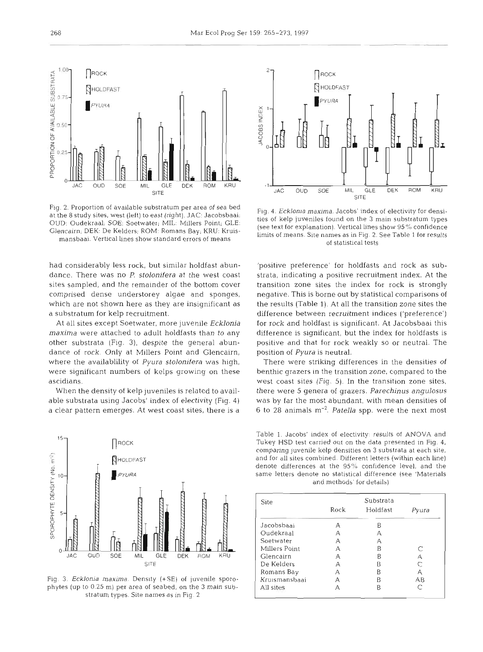

Fig. 2. Proportion of available substratum per area of sea bed at the 8 study sites, west (left) to east (right). JAC: Jacobsbaai; OUD: Oudekraal; SOE: Soetwater; MIL: Millers Point; GLE: Glencairn; DEK: De Kelders; ROM: Romans Bay; KRU: Kruismansbaai. Vertical lines show standard errors of means

had considerably less rock, but simllar holdfast abundance. There was no *P. stolonifera* at the west coast sites sampled, and the remainder of the bottom cover comprised dense understorey algae and sponges, which are not shown here as they are insignificant as a substratum for kelp recruitment.

At all sites except Soetwater, more juvenile Ecklonia *maxima* were attached to adult holdfasts than to any other substrata (Fig. **3),** despite the general abundance of rock. Only at Millers Point and Glencairn, where the availablility of *Pyura stolonifera* was high, were significant numbers of kelps growing on these ascidians.

When the density of kelp juveniles is related to available substrata using Jacobs' index of electivity (Fig. 4) a clear pattern emerges. At west coast sites, there is a



Fig. 3. *Ecklonia maxima*. Density (+SE) of juvenile sporophytes (up to 0.25 m) per area of seabed, on the *3* main substratum types. Site names as in Fig. 2



Fig. 4. *Ecklonia maxima.* Jacobs' index of electivity for densities of kelp juveniles found on the 3 main substratum types (see text for explanation). Vertical lines show 95% confidence limits of means. Site names as in Fig. **2.** See Table 1 for results of statistical tests

'positive preference' for holdfasts and rock as substrata, indicating a positive recruitment index. At the transition zone sites the index for rock is strongly negative. This is borne out by statistical comparisons of the results (Table 1). At all the transition zone sites the difference between recruitment indices ('preference') for rock and holdfast is significant. At Jacobsbaai this difference is significant, but the index for holdfasts is positive and that for rock weakly so or neutral. The position of *Pyura* is neutral.

There were striking differences in the densities of benthic grazers in the transition zone, compared to the west coast sites (Fig. 5). In the transition zone sites, there were *5* genera of grazers. *Parechinus angulosus*  was by far the most abundant, with mean densities of 6 to 28 animals m-'. *Patella* spp. were the next most

Table **1.** Jacobs' index of electivity- results of ANOVA and Tukey HSD test carried out on the data presented in Fig. 4, comparing juvenile kelp densities on **3** substrata at each site, and for all sites combined. Different letters (within each line) denote differences at the 95% confidence level, and the same letters denote no statistical difference (see 'Materials and methods' for details)

| Site          | Substrata |          |       |
|---------------|-----------|----------|-------|
|               | Rock      | Holdfast | Pyura |
| Jacobsbaai    | А         | В        |       |
| Oudekraal     | А         | А        |       |
| Soetwater     | А         | д        |       |
| Millers Point | А         | B        |       |
| Glencairn     | А         | В        | А     |
| De Kelders    | А         | B        |       |
| Romans Bay    | А         | R        | А     |
| Kruismansbaai | А         | B        | АB    |
| All sites     | А         | B        |       |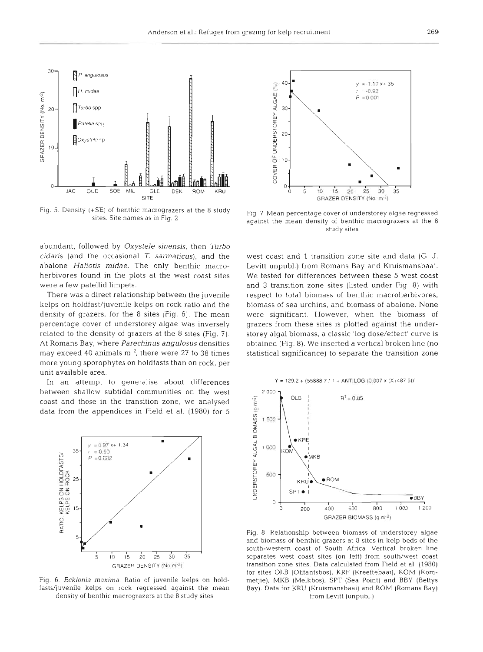

Fig. 5. Density (+SE) of benthic macrograzers at the 8 study sites. Site names as in Fig. 2

abundant, followed by *Oxystele* sinensis, then Turbo cidaris (and the occasional T. sarmaticus), and the abalone Haliotis midae. The only benthic macroherbivores found in the plots at the west coast sites were a few patellid limpets.

There was a direct relationship between the juvenile kelps on holdfast/juvenile kelps on rock ratio and the density of grazers, for the 8 sites (Fig. 6). The mean percentage cover of understorey algae was inversely related to the density of grazers at the 8 sites (Fig. 7). At Romans Bay, where Parechinus angulosus densities may exceed 40 animals  $m^{-2}$ , there were 27 to 38 times more young sporophytes on holdfasts than on rock, per unit available area.

In an attempt to generalise about differences between shallow subtidal communities on the west coast and those in the transition zone, we analysed data from the appendices in Field et al. (1980) for 5



Fig. *6. Ecklonia maxima.* Ratio of juvenile kelps on holdfasts/juvenile kelps on rock regressed against the mean density of benthic macrograzers at the 8 study sites



Fig. 7 Mean percentage cover of understorey algae regressed against the mean density of benthic macrograzers at the 8 study sites

west coast and 1 transition zone site and data (G. J. Levitt unpubl.) from Romans Bay and Kruismansbaai. We tested for differences between these 5 west coast and 3 transition zone sites (listed under Fig. 8) with respect to total biomass of benthic macroherbivores, biomass of sea urchins, and biomass of abalone. None were significant. However, when the biomass of grazers from these sites is plotted against the understorey algal biomass, a classic 'log dose/effect' curve is obtained (Fig. 8). We inserted a vertical broken line (no statistical significance) to separate the transition zone



Fig. 8. Relationship between biomass of understorey algae and biomass of benthic grazers at 8 sites in kelp beds of the south-western coast of South Africa. Vertical broken line separates west coast sites (on left) from south/west coast transition zone sites. Data calculated from Field et al. (1980) for sites OLB (Olifantsbos), KRE (Kreeftebaai), KOM (Kommetjie), MKB (Melkbos), SPT (Sea Point) and BBY (Bettys Bay). Data for KRU (Kruismansbaai) and ROM (Romans Bay) from Levitt (unpubl.)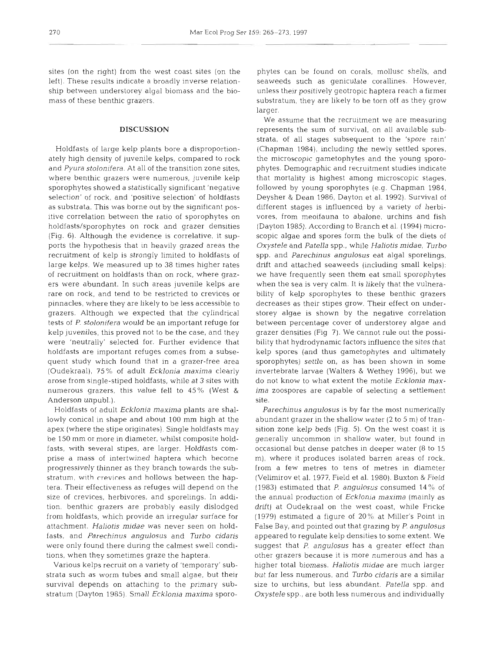sites (on the right) from the west coast sites (on the left). These results indicate a broadly inverse relationship between understorey algal biomass and the biomass of these benthic grazers.

## **DISCUSSION**

Holdfasts of large kelp plants bore a disproportionately high density of juvenile kelps, compared to rock and *Pyura stolonifera.* At all of the transition zone sites, where benthic grazers were numerous, juvenile kelp sporophytes showed a statistically significant 'negative selection' of rock, and 'positive selection' of holdfasts as substrata. This was borne out by the significant positive correlation between the ratio of sporophytes on holdfasts/sporophytes on rock and grazer densities (Fig. 6). Although the evidence is correlative, it supports the hypothesis that in heavily grazed areas the recruitment of kelp is strongly limited to holdfasts of large kelps. We measured up to 38 times higher rates of recruitment on holdfasts than on rock, where grazers were abundant. In such areas juvenile kelps are rare on rock, and tend to be restricted to crevices or pinnacles, where they are likely to be less accessible to grazers. Although we expected that the cylindrical tests of *P. stolonifera* would be an important refuge for kelp juveniles, this proved not to be the case, and they were 'neutrally' selected for. Further evidence that holdfasts are important refuges comes from a subsequent study which found that in a grazer-free area (Oudekraal), 75% of adult *Ecklonia maxima* clearly arose from single-stiped holdfasts, while at **3** sites with numerous grazers, this value fell to 45% (West & Anderson unpubl.).

Holdfasts of adult *Ecklonia maxima* plants are shallowly conical in shape and about 100 mm high at the apex (where the stipe originates). Single holdfasts may be 150 mm or more in diameter, whilst composite holdfasts, with several stipes, are larger. Holdfasts comprise a mass of intertwined haptera which become progressively thinner as they branch towards the substratum, with crevices and hollows between the haptera. Their effectiveness as refuges will depend on the size of crevices, herbivores, and sporelings. In addition, benthic grazers are probably easily dislodged from, holdfasts, which provide an irregular surface for attachment. *Haliotis midae* was never seen on holdfasts, and *Parechinus angulosus* and *Turbo cidaris*  were only found there dunng the calmest swell condltions, when they sometimes graze the haptera.

Various kelps recruit on a variety of 'temporary' substrata such as worm tubes and small algae, but their survival depends on attaching to the primary substratum (Dayton 1985). Small *Ecklonia maxima* sporo-

phytes can be found on corals, mollusc shells, and<br>seaweeds such as geniculate corallines. However,<br>unless their positively geotropic haptera reach a firmer<br>substratum, they are likely to be torn off as they grow<br>larger.<br>W *Oxystele* and *Patella* spp., while *Haliotis midae, Turbo* spp. and *Parechinus angulosus* eat algal sporelings,<br>drift and attached seaweeds (including small kelps):<br>we have frequently seen them eat small sporophytes<br>when the sea is very calm. It is likely that the vulnera-<br>oility ima zoospores are capable of selecting a settlement site.

Parechinus angulosus is by far the most numerically<br>abundant grazer in the shallow water (2 to 5 m) of tran-<br>sition zone kelp beds (Fig. 5). On the west coast it is<br>generally uncommon in shallow water, but found in<br>occasi appeared to regulate kelp densities to some extent. We<br>suggest that *P. angulosus* has a greater effect than<br>other grazers because it is more numerous and has a<br>higher total biomass. *Haliotis midae* are much larger<br>but fa *Oxystele* spp., are both less numerous and individually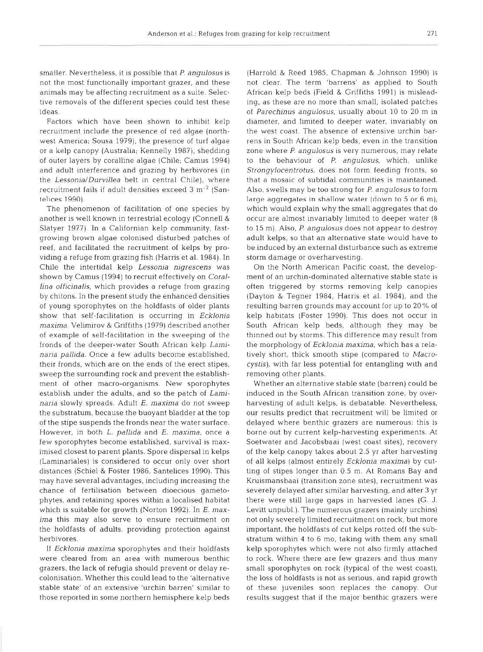smaller. Nevertheless, it is possible that *P angulosus* is not the most functionally important grazer, and these animals may be affecting recruitment as a suite. Selective removals of the different species could test these ideas.

Factors which have been shown to inhibit kelp recruitment include the presence of red algae (northwest America; Sousa 1979), the presence of turf algae or a kelp canopy (Australia; Kennelly 1987), shedding of outer layers by coralline algae (Chile; Camus 1994) and adult interference and grazing by herbivores (in the *Lessonia/Durvillea* belt in central Chile), where recruitment fails if adult densities exceed  $3 \text{ m}^{-2}$  (Santelices 1990).

The phenomenon of facilitation of one species by another is well known in terrestrial ecology (Connell & Slatyer 1977) In a Californian kelp community, fastgrowing brown algae colonised disturbed patches of reef, and facilitated the recruitment of kelps by providing a refuge from grazing fish (Harris et al. 1984). In Chile the intertidal kelp *Lessonia nigrescens* was shown by Camus (1994) to recruit effectively on *Corallina officinalis,* which provides a refuge from grazing by chitons. In the present study the enhanced densities of young sporophytes on the holdfasts of older plants show that self-facilitation is occurring in *Ecklonia maxima.* Velimirov & Griffiths (1979) described another of example of self-facilitation in the sweeping of the fronds of the deeper-water South African kelp *Laminaria pallida.* Once a few adults become established, their fronds, which are on the ends of the erect stipes, sweep the surrounding rock and prevent the establishment of other macro-organisms. New sporophytes establish under the adults, and so the patch of *Laminana* slowly spreads. Adult E. *maxima* do not sweep the substratum, because the buoyant bladder at the top of the stipe suspends the fronds near the water surface. However, in both *L. palllda* and *E. maxima,* once a few sporophytes become established, survival is maximised closest to parent plants. Spore dispersal in kelps (Laminariales) is considered to occur only over short distances (Schiel & Foster 1986, Santelices 1990). This may have several advantages, including increasing the chance of fertilisation between dioecious gametophytes, and retaining spores within a localised habitat which is suitable for growth (Norton 1992). In *E. maxima* this may also serve to ensure recruitment on the holdfasts of adults, providing protection against herbivores.

If *Ecklonia maxima* sporophytes and their holdfasts were cleared from an area with numerous benthic grazers, the lack of refugia should prevent or delay recolonisation. Whether this could lead to the 'alternative stable state' of an extensive 'urchin barren' similar to those reported in some northern hemisphere kelp beds

(Harrold & Reed 1985, Chapman & Johnson 1990) is not clear. The term 'barrens' as applied to South African kelp beds (Field & Griffiths 1991) is misleading, as these are no more than small, isolated patches of *Parechinus angulosus,* usually about 10 to 20 m in diameter, and limited to deeper water, invariably on the west coast. The absence of extensive urchin barrens in South African kelp beds, even in the transition zone where *P angulosus* is very numerous, may relate to the behaviour of P. *angulosus,* which, unlike *Strongylocentrotus,* does not form feeding fronts, so that a mosaic of subtidal communities is maintained. Also, swells may be too strong for P. *angulosus* to form large aggregates in shallow water (down to 5 or 6 m), which would explain why the small aggregates that do occur are almost invariably limited to deeper water (8 to 15 m). Also, *P. angulosus* does not appear to destroy adult kelps, so that an alternative state would have to be induced by an external disturbance such as extreme storm damage or overharvesting.

On the North American Pacific coast, the development of an urchin-dominated alternative stable state is often triggered by storms removing kelp canopies (Dayton & Tegner 1984, Harris et al. 1984), and the resulting barren grounds may account for up to 20% of kelp habitats (Foster 1990). This does not occur in South African kelp beds, although they may be thinned out by storms. This difference may result from the morphology of *Ecklonia maxima,* which has a relatively short, thick smooth stipe (compared to *Macrocystis),* with far less potential for entangling with and removing other plants.

Whether an alternative stable state (barren) could be induced in the South African transition zone, by overharvesting of adult kelps, is debatable. Nevertheless, our results predict that recruitment will be limited or delayed where benthic grazers are numerous: this is borne out by current kelp-harvesting experiments. At Soetwater and Jacobsbaai (west coast sites), recovery of the kelp canopy takes about 2.5 yr after harvesting of all kelps (almost entirely *Ecklonia maxima*) by cutting of stipes longer than 0.5 m. At Romans Bay and Kruismansbaai (transition zone sites), recruitment was severely delayed after similar harvesting, and after 3 yr there were still large gaps in harvested lanes (G. J. Levitt unpubl.). The numerous grazers (mainly urchins) not only severely limited recruitment on rock, but more important, the holdfasts of cut kelps rotted off the substratum within 4 to 6 mo, taking with them any small kelp sporophytes which were not also firmly attached to rock. Where there are few grazers and thus many small sporophytes on rock (typical of the west coast), the loss of holdfasts is not as serious, and rapid growth of these juveniles soon replaces the canopy. Our results suggest that if the major benthic grazers were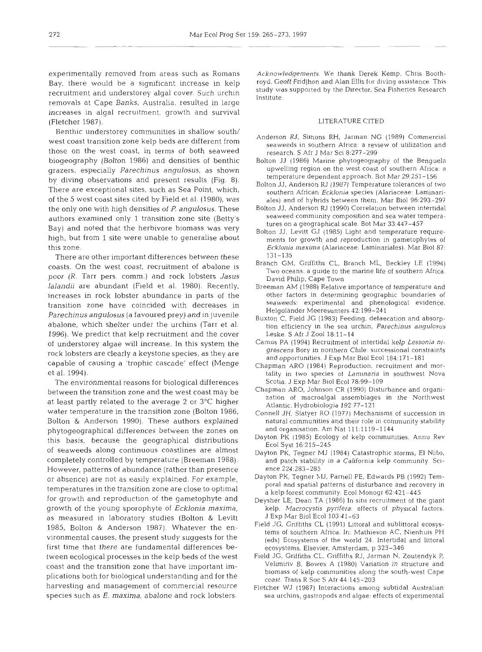experimentally removed from areas such as Romans Bay, there would be a significant increase in kelp recruitment and understorey algal cover. Such urchin removals at Cape Banks, Australia, resulted in large increases in algal recruitment, growth and survival (Fletcher 1987).

Benthic understorey communities in shallow south/ west coast transition zone kelp beds are different from those on the west coast, in terms of both seaweed biogeography (Bolton 1986) and densities of benthic grazers, especially *Parechinus angulosus,* as shown *by* diving observations and present results (Fig. 8). here are exceptional sites, such as Sea Point, which, of the 5 west coast sites cited by Field et al. (1980), was the only one with high densities of P *angulosus.* These authors examined only 1 transition zone site (Betty's Bay) and noted that the herbivore biomass was very high, but from 1 site were unable to generalise about this zone.

There are other important differences between these coasts. On the west coast, recruitment of abalone is poor (R. Tarr pers. comm.) and rock lobsters *Jasus lalandii* are abundant (Field et al. 1980). Recently, increases in rock lobster abundance in parts of the transition zone have coincided with decreases in *Parechinus angulosus* (a favoured prey) and in juvenile abalone, which shelter under the urchins (Tarr et al. 1996). We predict that kelp recruitment and the cover of understorey algae will increase. In this system the rock lobsters are clearly a keystone species, as they are capable of causing a 'trophic cascade' effect (Menge et al. 1994).

The environmental reasons for biological differences between the transition zone and the west coast may be at least partly related to the average 2 or 3°C higher water temperature in the transition zone (Bolton 1986, Bolton & Anderson 1990). These authors explained phytogeographical differences between the zones on this basis, because the geographical distributions of seaweeds along continuous coastlines are almost completely controlled by temperature (Breeman 1988). However, patterns of abundance (rather than presence or absence) are not as easily explained. For example, temperatures in the transition zone are close to optimal for growth and reproduction of the gametophyte and growth of the young sporophyte of *Ecklonia maxima,*  as measured in laboratory studies (Bolton & Levitt 1985, Bolton & Anderson 1987). Whatever the environmental causes, the present study suggests for the first time that there are fundamental differences between ecological processes in the kelp beds of the west coast and the transition zone that have important implications both for biological understanding and for the harvesting and management of commercial resource species such as *E. maxima*, abalone and rock lobsters.

Acknowledgements. We thank Derek Kemp. Chris Boothroyd. Geoff Fridjhon and Alan Ellis for diving assistance This study was supported by the Director, Sea Fisheries Research Institute.

#### LITERATURE CITED

- Anderson RJ, Simons RH, Jarman NG (1989) Commercial seaweeds in southern Africa: a review of utilization and research. S Afr J Mar Sci 8:277-299
- Bolton JJ (1986) Marine phytogeography of the Benguela upwelling region on the west coast of southern Africa: a temperature dependent approach. Bot Mar 29:251-156
- Bolton JJ, Anderson RJ (1987) Temperature tolerances of two southern African Ecklonia species (Alariaceae: Laminariales) and of hybrids between them. Mar Blol 96:293-297
- Bolton JJ, Anderson RJ (1990) Correlation between intertidal seaweed community composition and sea water temperatures on a geographical scale. Bot Mar 33:447-457
- Bolton JJ, Levitt GJ (1985) Light and temperature requirements for growth and reproduction in gametophytes of Ecklonia maxima (Alariaceae: Laminariales). Mar Biol 87: 131-135
- Branch GM, Griffiths CL, Branch ML, Beckley LE (1994) Two oceans: a guide to the marine life of southern Africa. David Philip, Cape Town
- Breeman AM (1988) Relative importance of temperature and other factors in determining geographic boundaries of seaweeds: experimental and phenological evidence. Helgoländer Meeresunters 42:199-241
- Buxton C, Field JG (1983) Feeding, defaecation and absorption efficiency in the sea urchin, Parechinus angulosus Leske. S Afr J Zoo1 18:ll-14
- Camus PA (1994) Recruitment of intertidal kelp Lessonia nigrescens Bory in northern Chile: successional constraints and opportunities. J Exp Mar Biol Ecol 184:171-181
- Chapman ARO (1984) Reproduction. recruitment and mortality in two species of Laminaria in southwest Nova Scotia. J Exp Mar Biol Ecol 78:99-109
- Chapman ARO, Johnson CR (1990) Disturbance and organization of macroalgal assemblages in the Northwest Atlantic. Hydrobiologia 192:77-121
- Connell JH, Slatyer RO (1977) Mechanisms of succession in natural communities and their role in community stability and organisation. Am Nat 111:1119-1144
- Dayton PK (1985) Ecology of kelp communities. Annu Rev Ecol Syst 16:215-245
- Dayton PK, Tegner MJ (1984) Catastrophic storms, El Niño, and patch stability in a California kelp community. Science 224.283-285
- Dayton PK, Tegner XIJ, Parnell PE, Edwards PB (1992) Temporal and spatial patterns of disturbance and recovery jn a kelp forest community. Ecol Monogr 62:421-445
- Deysher LE, Dean TA (1986) In situ recruitment of the giant kelp, Macrocystis pyrifera: effects of physical factors. J Exp Mar Biol Ecol 103:41-63
- Field JG, Griffiths CL (1991) Littoral and sublittoral ecosystems of southern Africa. In: Mathieson AC. Nienhuis PH (eds) Ecosystems of the world 24. Intertidal and littoral ecosystems. Elsevler, Amsterdam. p 323-346
- Field JG, Griffiths CL. Griffiths RJ, Jarman N. Zoutendyk P, Velimiriv B, Bowes A (1980) Variation in structure and biomass of kelp communities along the south-west Cape coast. Trans R Soc S Afr 44:145-203
- Fletcher WJ (1987) Interactions among subtidal Australian sea urchins, gastropods and algae: effects of expenmental